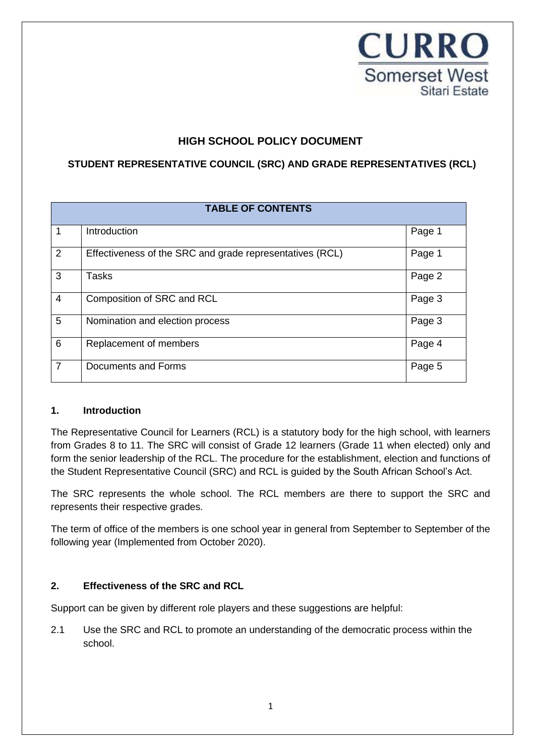

# **HIGH SCHOOL POLICY DOCUMENT**

## **STUDENT REPRESENTATIVE COUNCIL (SRC) AND GRADE REPRESENTATIVES (RCL)**

| <b>TABLE OF CONTENTS</b> |                                                          |        |  |
|--------------------------|----------------------------------------------------------|--------|--|
| 1                        | Introduction                                             | Page 1 |  |
| $\overline{2}$           | Effectiveness of the SRC and grade representatives (RCL) | Page 1 |  |
| 3                        | Tasks                                                    | Page 2 |  |
| $\overline{4}$           | Composition of SRC and RCL                               | Page 3 |  |
| 5                        | Nomination and election process                          | Page 3 |  |
| 6                        | Replacement of members                                   | Page 4 |  |
| $\overline{7}$           | Documents and Forms                                      | Page 5 |  |

#### **1. Introduction**

The Representative Council for Learners (RCL) is a statutory body for the high school, with learners from Grades 8 to 11. The SRC will consist of Grade 12 learners (Grade 11 when elected) only and form the senior leadership of the RCL. The procedure for the establishment, election and functions of the Student Representative Council (SRC) and RCL is guided by the South African School's Act.

The SRC represents the whole school. The RCL members are there to support the SRC and represents their respective grades.

The term of office of the members is one school year in general from September to September of the following year (Implemented from October 2020).

## **2. Effectiveness of the SRC and RCL**

Support can be given by different role players and these suggestions are helpful:

2.1 Use the SRC and RCL to promote an understanding of the democratic process within the school.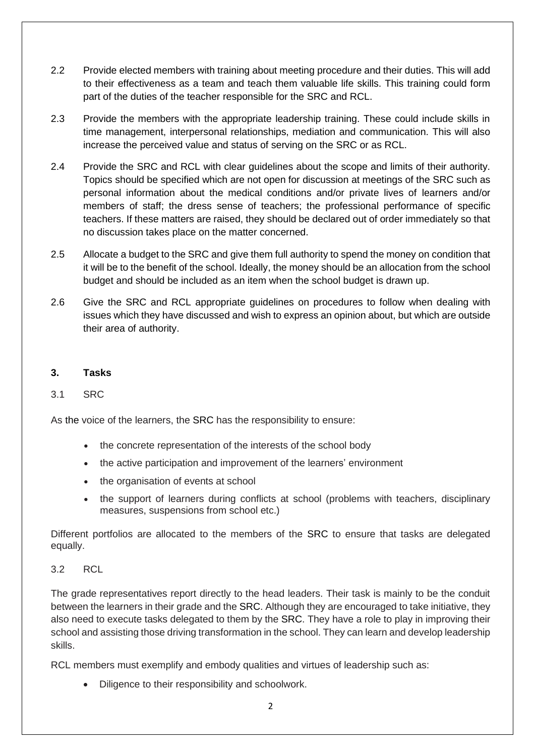- 2.2 Provide elected members with training about meeting procedure and their duties. This will add to their effectiveness as a team and teach them valuable life skills. This training could form part of the duties of the teacher responsible for the SRC and RCL.
- 2.3 Provide the members with the appropriate leadership training. These could include skills in time management, interpersonal relationships, mediation and communication. This will also increase the perceived value and status of serving on the SRC or as RCL.
- 2.4 Provide the SRC and RCL with clear guidelines about the scope and limits of their authority. Topics should be specified which are not open for discussion at meetings of the SRC such as personal information about the medical conditions and/or private lives of learners and/or members of staff; the dress sense of teachers; the professional performance of specific teachers. If these matters are raised, they should be declared out of order immediately so that no discussion takes place on the matter concerned.
- 2.5 Allocate a budget to the SRC and give them full authority to spend the money on condition that it will be to the benefit of the school. Ideally, the money should be an allocation from the school budget and should be included as an item when the school budget is drawn up.
- 2.6 Give the SRC and RCL appropriate guidelines on procedures to follow when dealing with issues which they have discussed and wish to express an opinion about, but which are outside their area of authority.

## **3. Tasks**

## 3.1 SRC

As the voice of the learners, the SRC has the responsibility to ensure:

- the concrete representation of the interests of the school body
- the active participation and improvement of the learners' environment
- the organisation of events at school
- the support of learners during conflicts at school (problems with teachers, disciplinary measures, suspensions from school etc.)

Different portfolios are allocated to the members of the SRC to ensure that tasks are delegated equally.

#### 3.2 RCL

The grade representatives report directly to the head leaders. Their task is mainly to be the conduit between the learners in their grade and the SRC. Although they are encouraged to take initiative, they also need to execute tasks delegated to them by the SRC. They have a role to play in improving their school and assisting those driving transformation in the school. They can learn and develop leadership skills.

RCL members must exemplify and embody qualities and virtues of leadership such as:

• Diligence to their responsibility and schoolwork.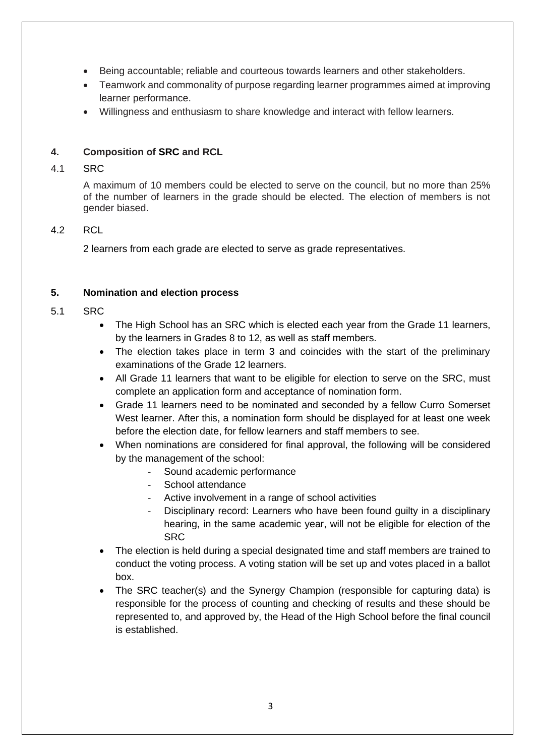- Being accountable; reliable and courteous towards learners and other stakeholders.
- Teamwork and commonality of purpose regarding learner programmes aimed at improving learner performance.
- Willingness and enthusiasm to share knowledge and interact with fellow learners.

### **4. Composition of SRC and RCL**

#### 4.1 SRC

A maximum of 10 members could be elected to serve on the council, but no more than 25% of the number of learners in the grade should be elected. The election of members is not gender biased.

#### 4.2 RCL

2 learners from each grade are elected to serve as grade representatives.

#### **5. Nomination and election process**

#### 5.1 SRC

- The High School has an SRC which is elected each year from the Grade 11 learners, by the learners in Grades 8 to 12, as well as staff members.
- The election takes place in term 3 and coincides with the start of the preliminary examinations of the Grade 12 learners.
- All Grade 11 learners that want to be eligible for election to serve on the SRC, must complete an application form and acceptance of nomination form.
- Grade 11 learners need to be nominated and seconded by a fellow Curro Somerset West learner. After this, a nomination form should be displayed for at least one week before the election date, for fellow learners and staff members to see.
- When nominations are considered for final approval, the following will be considered by the management of the school:
	- Sound academic performance
	- School attendance
	- Active involvement in a range of school activities
	- Disciplinary record: Learners who have been found quilty in a disciplinary hearing, in the same academic year, will not be eligible for election of the SRC
- The election is held during a special designated time and staff members are trained to conduct the voting process. A voting station will be set up and votes placed in a ballot box.
- The SRC teacher(s) and the Synergy Champion (responsible for capturing data) is responsible for the process of counting and checking of results and these should be represented to, and approved by, the Head of the High School before the final council is established.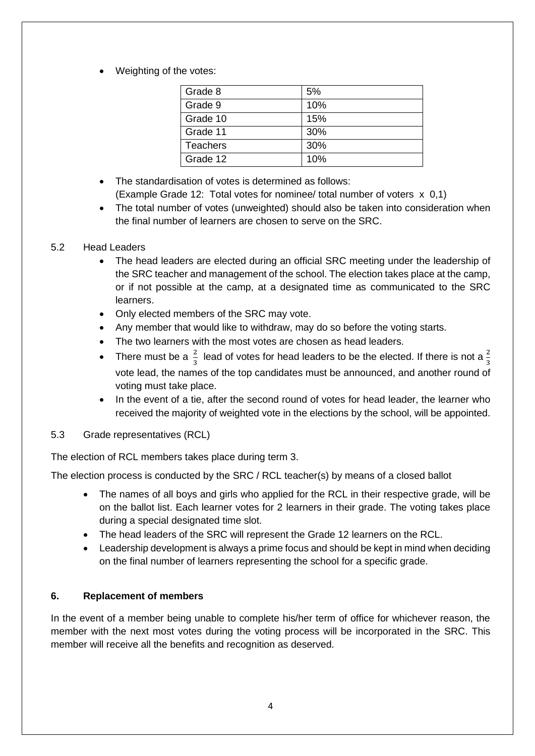Weighting of the votes:

| Grade 8         | 5%  |  |
|-----------------|-----|--|
| Grade 9         | 10% |  |
| Grade 10        | 15% |  |
| Grade 11        | 30% |  |
| <b>Teachers</b> | 30% |  |
| Grade 12        | 10% |  |

- The standardisation of votes is determined as follows: (Example Grade 12: Total votes for nominee/ total number of voters x 0,1)
- The total number of votes (unweighted) should also be taken into consideration when the final number of learners are chosen to serve on the SRC.

#### 5.2 Head Leaders

- The head leaders are elected during an official SRC meeting under the leadership of the SRC teacher and management of the school. The election takes place at the camp, or if not possible at the camp, at a designated time as communicated to the SRC learners.
- Only elected members of the SRC may vote.
- Any member that would like to withdraw, may do so before the voting starts.
- The two learners with the most votes are chosen as head leaders.
- There must be a  $\frac{2}{3}$  lead of votes for head leaders to be the elected. If there is not a  $\frac{2}{3}$ vote lead, the names of the top candidates must be announced, and another round of voting must take place.
- In the event of a tie, after the second round of votes for head leader, the learner who received the majority of weighted vote in the elections by the school, will be appointed.
- 5.3 Grade representatives (RCL)

The election of RCL members takes place during term 3.

The election process is conducted by the SRC / RCL teacher(s) by means of a closed ballot

- The names of all boys and girls who applied for the RCL in their respective grade, will be on the ballot list. Each learner votes for 2 learners in their grade. The voting takes place during a special designated time slot.
- The head leaders of the SRC will represent the Grade 12 learners on the RCL.
- Leadership development is always a prime focus and should be kept in mind when deciding on the final number of learners representing the school for a specific grade.

## **6. Replacement of members**

In the event of a member being unable to complete his/her term of office for whichever reason, the member with the next most votes during the voting process will be incorporated in the SRC. This member will receive all the benefits and recognition as deserved.